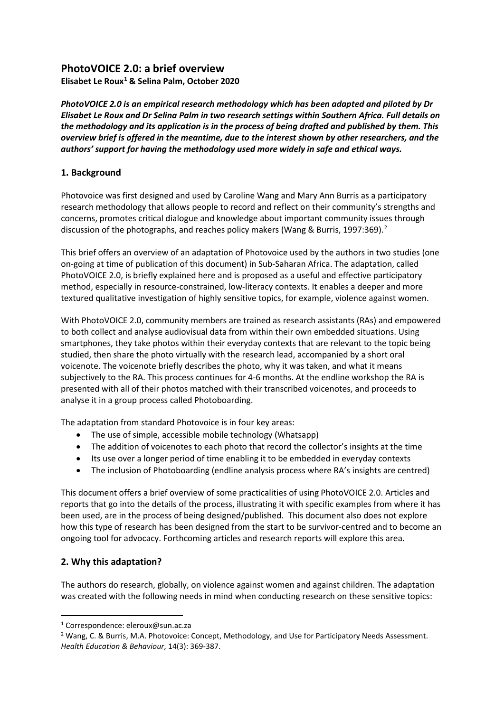# **PhotoVOICE 2.0: a brief overview**

**Elisabet Le Roux[1](#page-0-0) & Selina Palm, October 2020**

*PhotoVOICE 2.0 is an empirical research methodology which has been adapted and piloted by Dr Elisabet Le Roux and Dr Selina Palm in two research settings within Southern Africa. Full details on the methodology and its application is in the process of being drafted and published by them. This overview brief is offered in the meantime, due to the interest shown by other researchers, and the authors' support for having the methodology used more widely in safe and ethical ways.*

## **1. Background**

Photovoice was first designed and used by Caroline Wang and Mary Ann Burris as a participatory research methodology that allows people to record and reflect on their community's strengths and concerns, promotes critical dialogue and knowledge about important community issues through discussion of the photographs, and reaches policy makers (Wang & Burris, 1997:369).<sup>[2](#page-0-1)</sup>

This brief offers an overview of an adaptation of Photovoice used by the authors in two studies (one on-going at time of publication of this document) in Sub-Saharan Africa. The adaptation, called PhotoVOICE 2.0, is briefly explained here and is proposed as a useful and effective participatory method, especially in resource-constrained, low-literacy contexts. It enables a deeper and more textured qualitative investigation of highly sensitive topics, for example, violence against women.

With PhotoVOICE 2.0, community members are trained as research assistants (RAs) and empowered to both collect and analyse audiovisual data from within their own embedded situations. Using smartphones, they take photos within their everyday contexts that are relevant to the topic being studied, then share the photo virtually with the research lead, accompanied by a short oral voicenote. The voicenote briefly describes the photo, why it was taken, and what it means subjectively to the RA. This process continues for 4-6 months. At the endline workshop the RA is presented with all of their photos matched with their transcribed voicenotes, and proceeds to analyse it in a group process called Photoboarding.

The adaptation from standard Photovoice is in four key areas:

- The use of simple, accessible mobile technology (Whatsapp)
- The addition of voicenotes to each photo that record the collector's insights at the time
- Its use over a longer period of time enabling it to be embedded in everyday contexts
- The inclusion of Photoboarding (endline analysis process where RA's insights are centred)

This document offers a brief overview of some practicalities of using PhotoVOICE 2.0. Articles and reports that go into the details of the process, illustrating it with specific examples from where it has been used, are in the process of being designed/published. This document also does not explore how this type of research has been designed from the start to be survivor-centred and to become an ongoing tool for advocacy. Forthcoming articles and research reports will explore this area.

## **2. Why this adaptation?**

The authors do research, globally, on violence against women and against children. The adaptation was created with the following needs in mind when conducting research on these sensitive topics:

<span id="page-0-0"></span><sup>1</sup> Correspondence: eleroux@sun.ac.za

<span id="page-0-1"></span><sup>&</sup>lt;sup>2</sup> Wang, C. & Burris, M.A. Photovoice: Concept, Methodology, and Use for Participatory Needs Assessment. *Health Education & Behaviour*, 14(3): 369-387.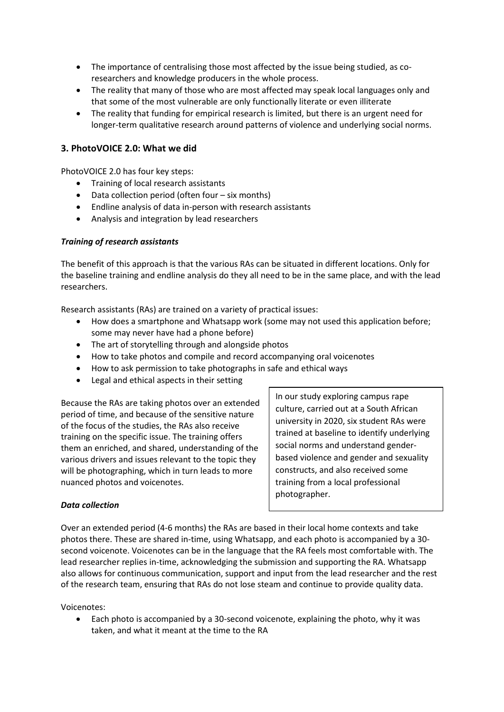- The importance of centralising those most affected by the issue being studied, as coresearchers and knowledge producers in the whole process.
- The reality that many of those who are most affected may speak local languages only and that some of the most vulnerable are only functionally literate or even illiterate
- The reality that funding for empirical research is limited, but there is an urgent need for longer-term qualitative research around patterns of violence and underlying social norms.

## **3. PhotoVOICE 2.0: What we did**

PhotoVOICE 2.0 has four key steps:

- Training of local research assistants
- Data collection period (often four six months)
- Endline analysis of data in-person with research assistants
- Analysis and integration by lead researchers

#### *Training of research assistants*

The benefit of this approach is that the various RAs can be situated in different locations. Only for the baseline training and endline analysis do they all need to be in the same place, and with the lead researchers.

Research assistants (RAs) are trained on a variety of practical issues:

- How does a smartphone and Whatsapp work (some may not used this application before; some may never have had a phone before)
- The art of storytelling through and alongside photos
- How to take photos and compile and record accompanying oral voicenotes
- How to ask permission to take photographs in safe and ethical ways
- Legal and ethical aspects in their setting

Because the RAs are taking photos over an extended period of time, and because of the sensitive nature of the focus of the studies, the RAs also receive training on the specific issue. The training offers them an enriched, and shared, understanding of the various drivers and issues relevant to the topic they will be photographing, which in turn leads to more nuanced photos and voicenotes.

In our study exploring campus rape culture, carried out at a South African university in 2020, six student RAs were trained at baseline to identify underlying social norms and understand genderbased violence and gender and sexuality constructs, and also received some training from a local professional photographer.

#### *Data collection*

Over an extended period (4-6 months) the RAs are based in their local home contexts and take photos there. These are shared in-time, using Whatsapp, and each photo is accompanied by a 30 second voicenote. Voicenotes can be in the language that the RA feels most comfortable with. The lead researcher replies in-time, acknowledging the submission and supporting the RA. Whatsapp also allows for continuous communication, support and input from the lead researcher and the rest of the research team, ensuring that RAs do not lose steam and continue to provide quality data.

#### Voicenotes:

• Each photo is accompanied by a 30-second voicenote, explaining the photo, why it was taken, and what it meant at the time to the RA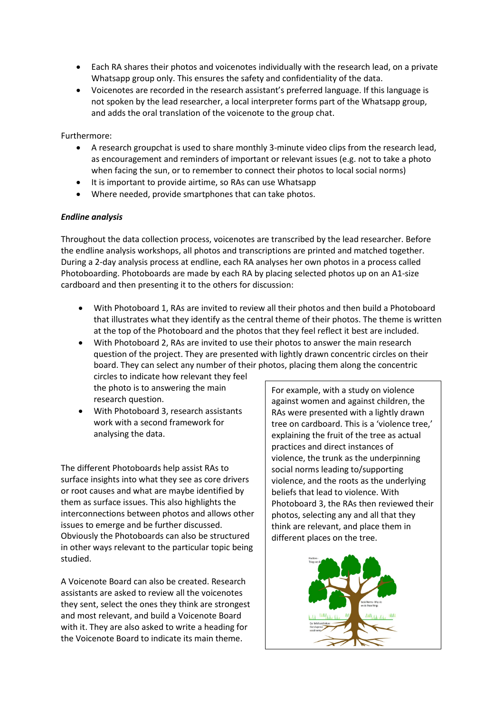- Each RA shares their photos and voicenotes individually with the research lead, on a private Whatsapp group only. This ensures the safety and confidentiality of the data.
- Voicenotes are recorded in the research assistant's preferred language. If this language is not spoken by the lead researcher, a local interpreter forms part of the Whatsapp group, and adds the oral translation of the voicenote to the group chat.

#### Furthermore:

- A research groupchat is used to share monthly 3-minute video clips from the research lead, as encouragement and reminders of important or relevant issues (e.g. not to take a photo when facing the sun, or to remember to connect their photos to local social norms)
- It is important to provide airtime, so RAs can use Whatsapp
- Where needed, provide smartphones that can take photos.

#### *Endline analysis*

Throughout the data collection process, voicenotes are transcribed by the lead researcher. Before the endline analysis workshops, all photos and transcriptions are printed and matched together. During a 2-day analysis process at endline, each RA analyses her own photos in a process called Photoboarding. Photoboards are made by each RA by placing selected photos up on an A1-size cardboard and then presenting it to the others for discussion:

- With Photoboard 1, RAs are invited to review all their photos and then build a Photoboard that illustrates what they identify as the central theme of their photos. The theme is written at the top of the Photoboard and the photos that they feel reflect it best are included.
- With Photoboard 2, RAs are invited to use their photos to answer the main research question of the project. They are presented with lightly drawn concentric circles on their board. They can select any number of their photos, placing them along the concentric

circles to indicate how relevant they feel the photo is to answering the main research question.

• With Photoboard 3, research assistants work with a second framework for analysing the data.

The different Photoboards help assist RAs to surface insights into what they see as core drivers or root causes and what are maybe identified by them as surface issues. This also highlights the interconnections between photos and allows other issues to emerge and be further discussed. Obviously the Photoboards can also be structured in other ways relevant to the particular topic being studied.

A Voicenote Board can also be created. Research assistants are asked to review all the voicenotes they sent, select the ones they think are strongest and most relevant, and build a Voicenote Board with it. They are also asked to write a heading for the Voicenote Board to indicate its main theme.

For example, with a study on violence against women and against children, the RAs were presented with a lightly drawn tree on cardboard. This is a 'violence tree,' explaining the fruit of the tree as actual practices and direct instances of violence, the trunk as the underpinning social norms leading to/supporting violence, and the roots as the underlying beliefs that lead to violence. With Photoboard 3, the RAs then reviewed their photos, selecting any and all that they think are relevant, and place them in different places on the tree.

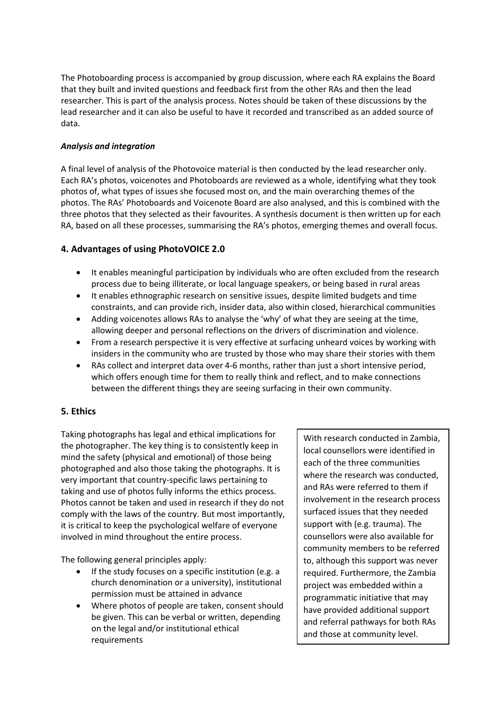The Photoboarding process is accompanied by group discussion, where each RA explains the Board that they built and invited questions and feedback first from the other RAs and then the lead researcher. This is part of the analysis process. Notes should be taken of these discussions by the lead researcher and it can also be useful to have it recorded and transcribed as an added source of data.

## *Analysis and integration*

A final level of analysis of the Photovoice material is then conducted by the lead researcher only. Each RA's photos, voicenotes and Photoboards are reviewed as a whole, identifying what they took photos of, what types of issues she focused most on, and the main overarching themes of the photos. The RAs' Photoboards and Voicenote Board are also analysed, and this is combined with the three photos that they selected as their favourites. A synthesis document is then written up for each RA, based on all these processes, summarising the RA's photos, emerging themes and overall focus.

## **4. Advantages of using PhotoVOICE 2.0**

- It enables meaningful participation by individuals who are often excluded from the research process due to being illiterate, or local language speakers, or being based in rural areas
- It enables ethnographic research on sensitive issues, despite limited budgets and time constraints, and can provide rich, insider data, also within closed, hierarchical communities
- Adding voicenotes allows RAs to analyse the 'why' of what they are seeing at the time, allowing deeper and personal reflections on the drivers of discrimination and violence.
- From a research perspective it is very effective at surfacing unheard voices by working with insiders in the community who are trusted by those who may share their stories with them
- RAs collect and interpret data over 4-6 months, rather than just a short intensive period, which offers enough time for them to really think and reflect, and to make connections between the different things they are seeing surfacing in their own community.

## **5. Ethics**

Taking photographs has legal and ethical implications for the photographer. The key thing is to consistently keep in mind the safety (physical and emotional) of those being photographed and also those taking the photographs. It is very important that country-specific laws pertaining to taking and use of photos fully informs the ethics process. Photos cannot be taken and used in research if they do not comply with the laws of the country. But most importantly, it is critical to keep the psychological welfare of everyone involved in mind throughout the entire process.

The following general principles apply:

- If the study focuses on a specific institution (e.g. a church denomination or a university), institutional permission must be attained in advance
- Where photos of people are taken, consent should be given. This can be verbal or written, depending on the legal and/or institutional ethical requirements

With research conducted in Zambia, local counsellors were identified in each of the three communities where the research was conducted, and RAs were referred to them if involvement in the research process surfaced issues that they needed support with (e.g. trauma). The counsellors were also available for community members to be referred to, although this support was never required. Furthermore, the Zambia project was embedded within a programmatic initiative that may have provided additional support and referral pathways for both RAs and those at community level.